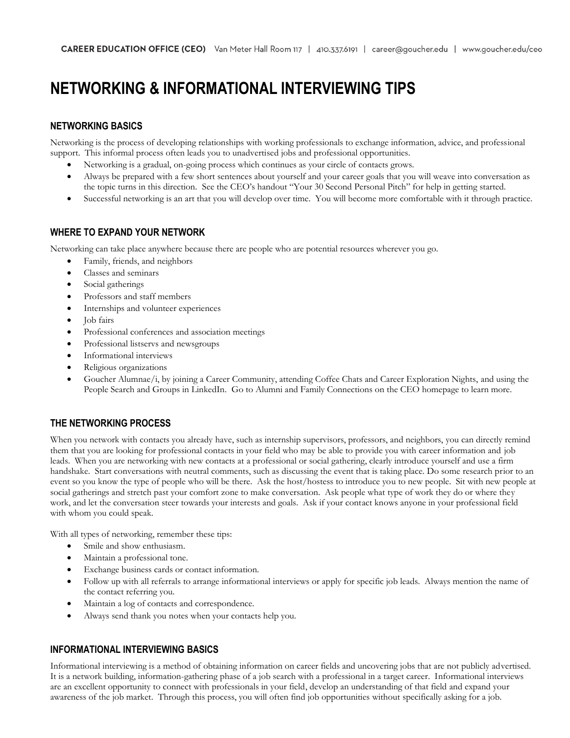# **NETWORKING & INFORMATIONAL INTERVIEWING TIPS**

#### **NETWORKING BASICS**

Networking is the process of developing relationships with working professionals to exchange information, advice, and professional support. This informal process often leads you to unadvertised jobs and professional opportunities.

- Networking is a gradual, on-going process which continues as your circle of contacts grows.
- Always be prepared with a few short sentences about yourself and your career goals that you will weave into conversation as the topic turns in this direction. See the CEO's handout "Your 30 Second Personal Pitch" for help in getting started.
- Successful networking is an art that you will develop over time. You will become more comfortable with it through practice.

#### **WHERE TO EXPAND YOUR NETWORK**

Networking can take place anywhere because there are people who are potential resources wherever you go.

- Family, friends, and neighbors
- Classes and seminars
- Social gatherings
- Professors and staff members
- Internships and volunteer experiences
- Job fairs
- Professional conferences and association meetings
- Professional listservs and newsgroups
- Informational interviews
- Religious organizations
- Goucher Alumnae/i, by joining a Career Community, attending Coffee Chats and Career Exploration Nights, and using the People Search and Groups in LinkedIn. Go to Alumni and Family Connections on the CEO homepage to learn more.

## **THE NETWORKING PROCESS**

When you network with contacts you already have, such as internship supervisors, professors, and neighbors, you can directly remind them that you are looking for professional contacts in your field who may be able to provide you with career information and job leads. When you are networking with new contacts at a professional or social gathering, clearly introduce yourself and use a firm handshake. Start conversations with neutral comments, such as discussing the event that is taking place. Do some research prior to an event so you know the type of people who will be there. Ask the host/hostess to introduce you to new people. Sit with new people at social gatherings and stretch past your comfort zone to make conversation. Ask people what type of work they do or where they work, and let the conversation steer towards your interests and goals. Ask if your contact knows anyone in your professional field with whom you could speak.

With all types of networking, remember these tips:

- Smile and show enthusiasm.
- Maintain a professional tone.
- Exchange business cards or contact information.
- Follow up with all referrals to arrange informational interviews or apply for specific job leads. Always mention the name of the contact referring you.
- Maintain a log of contacts and correspondence.
- Always send thank you notes when your contacts help you.

## **INFORMATIONAL INTERVIEWING BASICS**

Informational interviewing is a method of obtaining information on career fields and uncovering jobs that are not publicly advertised. It is a network building, information-gathering phase of a job search with a professional in a target career. Informational interviews are an excellent opportunity to connect with professionals in your field, develop an understanding of that field and expand your awareness of the job market. Through this process, you will often find job opportunities without specifically asking for a job.